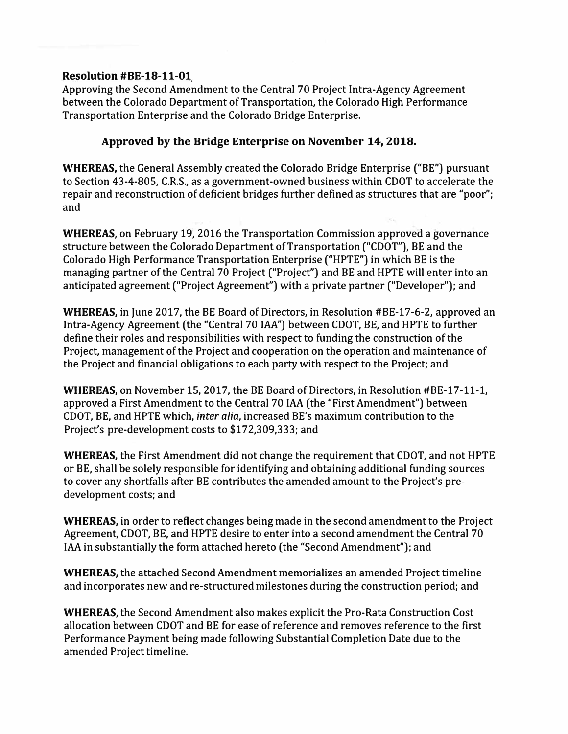## **Resolution #BE-18-11-01**

Approving the Second Amendment to the Central 70 Project Intra-Agency Agreement between the Colorado Department of Transportation, the Colorado High Performance Transportation Enterprise and the Colorado Bridge Enterprise.

## **Approved by the Bridge Enterprise on November 14, 2018.**

**WHEREAS,** the General Assembly created the Colorado Bridge Enterprise ("BE") pursuant to Section 43-4-805, C.R.S., as a government-owned business within COOT to accelerate the repair and reconstruction of deficient bridges further defined as structures that are "poor"; and

**WHEREAS,** on February 19, 2016 the Transportation Commission approved a governance structure between the Colorado Department of Transportation ("COOT"), BE and the Colorado High Performance Transportation Enterprise ("HPTE") in which BE is the managing partner of the Central 70 Project ("Project") and BE and HPTE will enter into an anticipated agreement ("Project Agreement") with a private partner ("Developer"); and

**WHEREAS,** in June 2017, the BE Board of Directors, in Resolution #BE-17-6-2, approved an Intra-Agency Agreement (the "Central 70 IAA'') between COOT, BE, and HPTE to further define their roles and responsibilities with respect to funding the construction of the Project, management of the Project and cooperation on the operation and maintenance of the Project and financial obligations to each party with respect to the Project; and

**WHEREAS,** on November 15, 2017, the BE Board of Directors, in Resolution #BE-17-11-1, approved a First Amendment to the Central 70 IAA (the "First Amendment") between COOT, BE, and HPTE which, *inter alia,* increased BE's maximum contribution to the Project's pre-development costs to \$172,309,333; and

**WHEREAS,** the First Amendment did not change the requirement that COOT, and not HPTE or BE, shall be solely responsible for identifying and obtaining additional funding sources to cover any shortfalls after BE contributes the amended amount to the Project's predevelopment costs; and

**WHEREAS,** in order to reflect changes being made in the second amendment to the Project Agreement, COOT, BE, and HPTE desire to enter into a second amendment the Central 70 IAA in substantially the form attached hereto (the "Second Amendment"); and

**WHEREAS,** the attached Second Amendment memorializes an amended Project timeline and incorporates new and re-structured milestones during the construction period; and

**WHEREAS,** the Second Amendment also makes explicit the Pro-Rata Construction Cost allocation between COOT and BE for ease of reference and removes reference to the first Performance Payment being made following Substantial Completion Date due to the amended Project timeline.